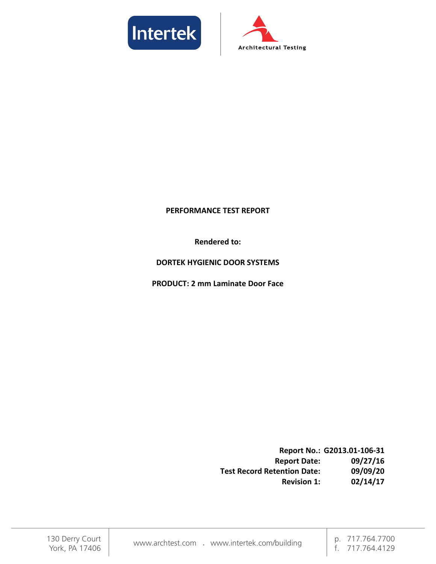



#### **PERFORMANCE TEST REPORT**

**Rendered to:** 

#### **DORTEK HYGIENIC DOOR SYSTEMS**

**PRODUCT: 2 mm Laminate Door Face** 

**Report No.: G2013.01-106-31 Report Date: 09/27/16 Test Record Retention Date: Revision 1: 02/14/17**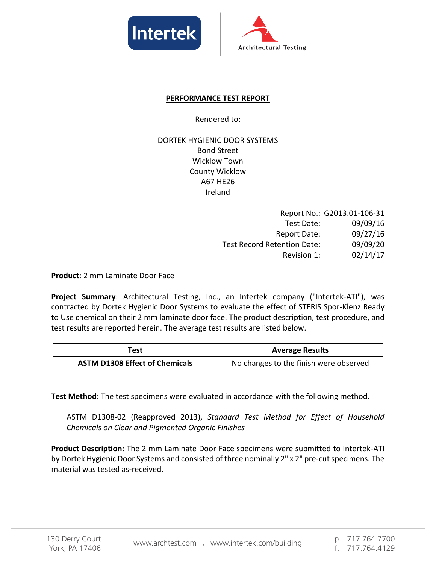



## **PERFORMANCE TEST REPORT**

Rendered to:

DORTEK HYGIENIC DOOR SYSTEMS Bond Street Wicklow Town County Wicklow A67 HE26 Ireland

|                                    | Report No.: G2013.01-106-31 |
|------------------------------------|-----------------------------|
| Test Date:                         | 09/09/16                    |
| <b>Report Date:</b>                | 09/27/16                    |
| <b>Test Record Retention Date:</b> | 09/09/20                    |
| Revision 1:                        | 02/14/17                    |

**Product**: 2 mm Laminate Door Face

**Project Summary**: Architectural Testing, Inc., an Intertek company ("Intertek-ATI"), was contracted by Dortek Hygienic Door Systems to evaluate the effect of STERIS Spor-Klenz Ready to Use chemical on their 2 mm laminate door face. The product description, test procedure, and test results are reported herein. The average test results are listed below.

| Test                                  | <b>Average Results</b>                 |
|---------------------------------------|----------------------------------------|
| <b>ASTM D1308 Effect of Chemicals</b> | No changes to the finish were observed |

**Test Method**: The test specimens were evaluated in accordance with the following method.

ASTM D1308-02 (Reapproved 2013), *Standard Test Method for Effect of Household Chemicals on Clear and Pigmented Organic Finishes* 

**Product Description**: The 2 mm Laminate Door Face specimens were submitted to Intertek-ATI by Dortek Hygienic Door Systems and consisted of three nominally 2" x 2" pre-cut specimens. The material was tested as-received.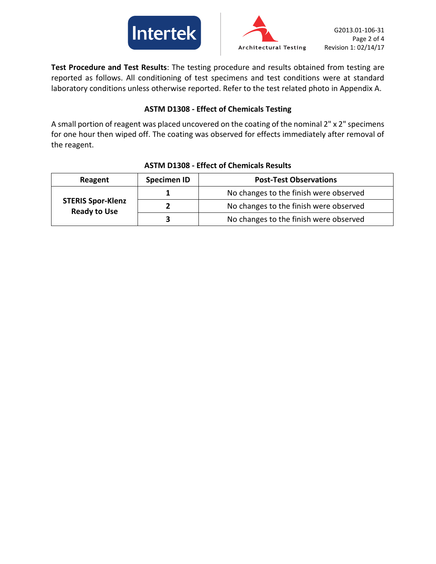



**Test Procedure and Test Results**: The testing procedure and results obtained from testing are reported as follows. All conditioning of test specimens and test conditions were at standard laboratory conditions unless otherwise reported. Refer to the test related photo in Appendix A.

## **ASTM D1308 - Effect of Chemicals Testing**

A small portion of reagent was placed uncovered on the coating of the nominal 2" x 2" specimens for one hour then wiped off. The coating was observed for effects immediately after removal of the reagent.

| Reagent                                         | <b>Specimen ID</b> | <b>Post-Test Observations</b>          |
|-------------------------------------------------|--------------------|----------------------------------------|
| <b>STERIS Spor-Klenz</b><br><b>Ready to Use</b> |                    | No changes to the finish were observed |
|                                                 |                    | No changes to the finish were observed |
|                                                 |                    | No changes to the finish were observed |

### **ASTM D1308 - Effect of Chemicals Results**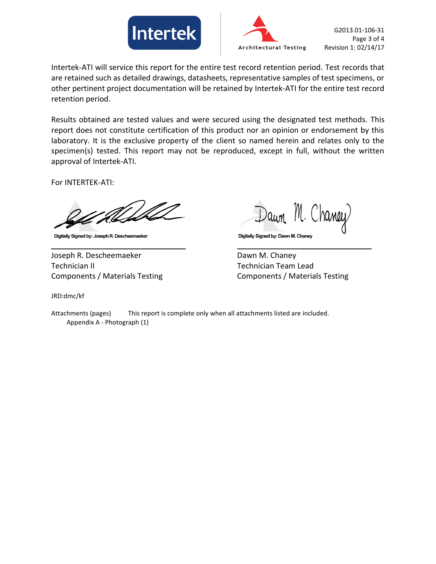



Intertek-ATI will service this report for the entire test record retention period. Test records that are retained such as detailed drawings, datasheets, representative samples of test specimens, or other pertinent project documentation will be retained by Intertek-ATI for the entire test record retention period.

Results obtained are tested values and were secured using the designated test methods. This report does not constitute certification of this product nor an opinion or endorsement by this laboratory. It is the exclusive property of the client so named herein and relates only to the specimen(s) tested. This report may not be reproduced, except in full, without the written approval of Intertek-ATI.

For INTERTEK-ATI:

Digitally Signed by: Joseph R. Descheemaeker

Joseph R. Descheemaeker Dawn M. Chaney Technician II Technician Team Lead Components / Materials Testing Components / Materials Testing

Dawn M. Chaney Digitally Signed by: Dawn M. Chaney

JRD:dmc/kf

Attachments (pages) This report is complete only when all attachments listed are included. Appendix A - Photograph (1)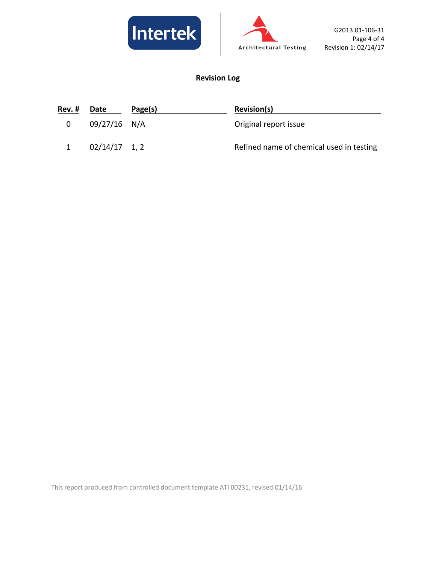



# **Revision Log**

| Rev. # | Date            | Page(s) | <b>Revision(s)</b>                       |
|--------|-----------------|---------|------------------------------------------|
| 0      | 09/27/16 N/A    |         | Original report issue                    |
|        | $02/14/17$ 1, 2 |         | Refined name of chemical used in testing |

This report produced from controlled document template ATI 00231, revised 01/14/16.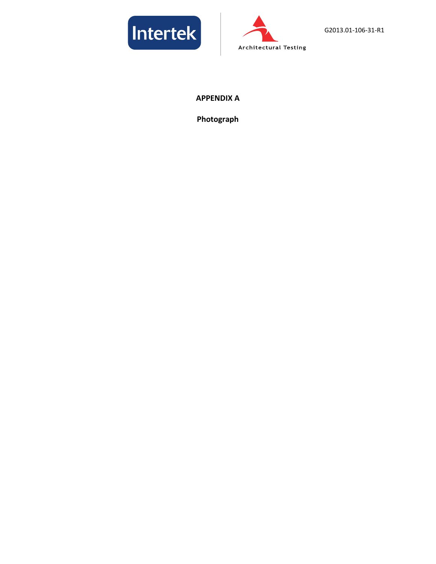



### **APPENDIX A**

**Photograph**